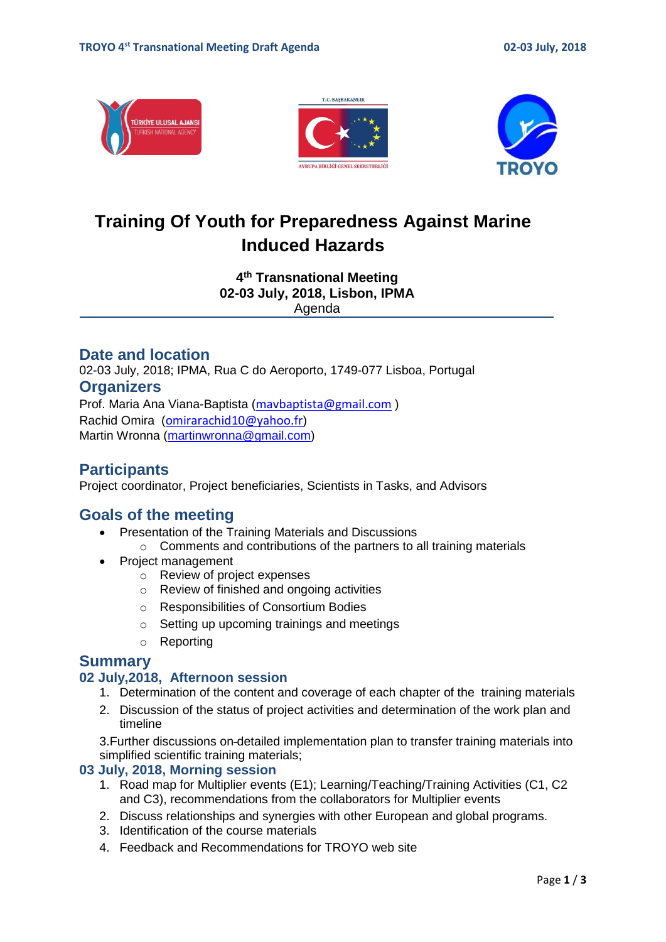





# **Training Of Youth for Preparedness Against Marine Induced Hazards**

**4 th Transnational Meeting 02-03 July, 2018, Lisbon, IPMA** Agenda

### **Date and location**

02-03 July, 2018; IPMA, Rua C do Aeroporto, 1749-077 Lisboa, Portugal **Organizers**  Prof. Maria Ana Viana-Baptista ([mavbaptista@gmail.com](mailto:mavbaptista@gmail.com) )

Rachid Omira ([omirarachid10@yahoo.fr](mailto:omirarachid10@yahoo.fr)) Martin Wronna [\(martinwronna@gmail.com\)](mailto:martinwronna@gmail.com)

## **Participants**

Project coordinator, Project beneficiaries, Scientists in Tasks, and Advisors

## **Goals of the meeting**

- Presentation of the Training Materials and Discussions
	- o Comments and contributions of the partners to all training materials
- Project management
	- o Review of project expenses
	- o Review of finished and ongoing activities
	- o Responsibilities of Consortium Bodies
	- o Setting up upcoming trainings and meetings
	- o Reporting

## **Summary**

#### **02 July,2018, Afternoon session**

- 1. Determination of the content and coverage of each chapter of the training materials
- 2. Discussion of the status of project activities and determination of the work plan and timeline

3.Further discussions on detailed implementation plan to transfer training materials into simplified scientific training materials;

#### **03 July, 2018, Morning session**

- 1. Road map for Multiplier events (E1); Learning/Teaching/Training Activities (C1, C2 and C3), recommendations from the collaborators for Multiplier events
- 2. Discuss relationships and synergies with other European and global programs.
- 3. Identification of the course materials
- 4. Feedback and Recommendations for TROYO web site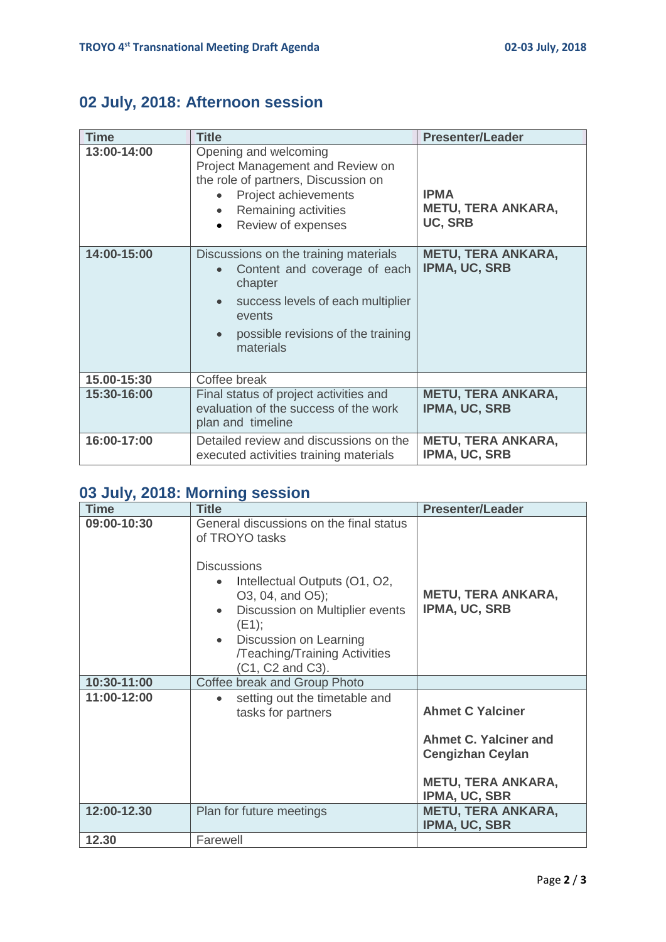## **02 July, 2018: Afternoon session**

| <b>Time</b> | <b>Title</b>                                                                                                                                                                                     | <b>Presenter/Leader</b>                                    |  |  |
|-------------|--------------------------------------------------------------------------------------------------------------------------------------------------------------------------------------------------|------------------------------------------------------------|--|--|
| 13:00-14:00 | Opening and welcoming<br>Project Management and Review on<br>the role of partners, Discussion on<br>Project achievements<br>Remaining activities<br>$\bullet$<br>Review of expenses<br>$\bullet$ | <b>IPMA</b><br><b>METU, TERA ANKARA,</b><br><b>UC, SRB</b> |  |  |
| 14:00-15:00 | Discussions on the training materials<br>Content and coverage of each<br>chapter<br>success levels of each multiplier<br>events<br>possible revisions of the training<br>materials               | <b>METU, TERA ANKARA,</b><br>IPMA, UC, SRB                 |  |  |
| 15.00-15:30 | Coffee break                                                                                                                                                                                     |                                                            |  |  |
| 15:30-16:00 | Final status of project activities and<br>evaluation of the success of the work<br>plan and timeline                                                                                             | <b>METU, TERA ANKARA,</b><br>IPMA, UC, SRB                 |  |  |
| 16:00-17:00 | Detailed review and discussions on the<br>executed activities training materials                                                                                                                 | <b>METU, TERA ANKARA,</b><br>IPMA, UC, SRB                 |  |  |

## **03 July, 2018: Morning session**

| <b>Time</b> | <b>Title</b>                                                                                                                                                                                                                                                    | <b>Presenter/Leader</b>                                                                                                   |
|-------------|-----------------------------------------------------------------------------------------------------------------------------------------------------------------------------------------------------------------------------------------------------------------|---------------------------------------------------------------------------------------------------------------------------|
| 09:00-10:30 | General discussions on the final status<br>of TROYO tasks<br><b>Discussions</b><br>Intellectual Outputs (O1, O2,<br>O3, 04, and O5);<br>Discussion on Multiplier events<br>(E1);<br>Discussion on Learning<br>/Teaching/Training Activities<br>(C1, C2 and C3). | <b>METU, TERA ANKARA,</b><br><b>IPMA, UC, SRB</b>                                                                         |
| 10:30-11:00 | Coffee break and Group Photo                                                                                                                                                                                                                                    |                                                                                                                           |
| 11:00-12:00 | setting out the timetable and<br>tasks for partners                                                                                                                                                                                                             | <b>Ahmet C Yalciner</b><br>Ahmet C. Yalciner and<br><b>Cengizhan Ceylan</b><br><b>METU, TERA ANKARA,</b><br>IPMA, UC, SBR |
| 12:00-12.30 | Plan for future meetings                                                                                                                                                                                                                                        | <b>METU, TERA ANKARA,</b><br>IPMA, UC, SBR                                                                                |
| 12.30       | Farewell                                                                                                                                                                                                                                                        |                                                                                                                           |